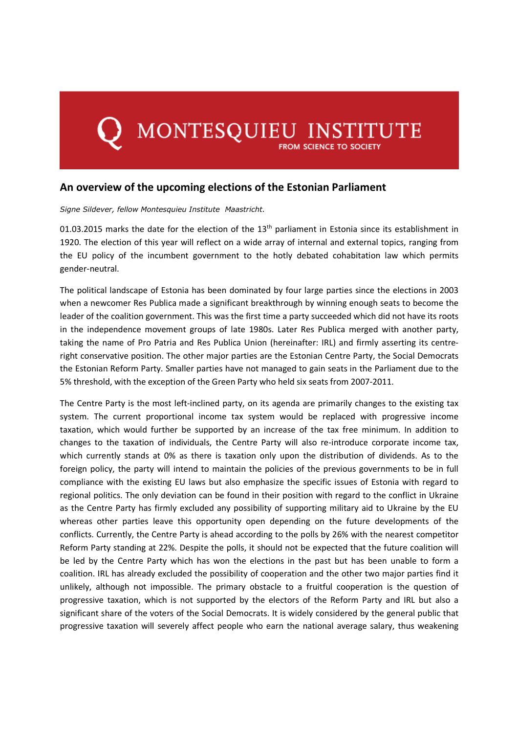## MONTESQUIEU INSTITUTE

## **An overview of the upcoming elections of the Estonian Parliament**

## *Signe Sildever, fellow Montesquieu Institute Maastricht.*

01.03.2015 marks the date for the election of the  $13<sup>th</sup>$  parliament in Estonia since its establishment in 1920. The election of this year will reflect on a wide array of internal and external topics, ranging from the EU policy of the incumbent government to the hotly debated cohabitation law which permits gender-neutral.

The political landscape of Estonia has been dominated by four large parties since the elections in 2003 when a newcomer Res Publica made a significant breakthrough by winning enough seats to become the leader of the coalition government. This was the first time a party succeeded which did not have its roots in the independence movement groups of late 1980s. Later Res Publica merged with another party, taking the name of Pro Patria and Res Publica Union (hereinafter: IRL) and firmly asserting its centreright conservative position. The other major parties are the Estonian Centre Party, the Social Democrats the Estonian Reform Party. Smaller parties have not managed to gain seats in the Parliament due to the 5% threshold, with the exception of the Green Party who held six seats from 2007-2011.

The Centre Party is the most left-inclined party, on its agenda are primarily changes to the existing tax system. The current proportional income tax system would be replaced with progressive income taxation, which would further be supported by an increase of the tax free minimum. In addition to changes to the taxation of individuals, the Centre Party will also re-introduce corporate income tax, which currently stands at 0% as there is taxation only upon the distribution of dividends. As to the foreign policy, the party will intend to maintain the policies of the previous governments to be in full compliance with the existing EU laws but also emphasize the specific issues of Estonia with regard to regional politics. The only deviation can be found in their position with regard to the conflict in Ukraine as the Centre Party has firmly excluded any possibility of supporting military aid to Ukraine by the EU whereas other parties leave this opportunity open depending on the future developments of the conflicts. Currently, the Centre Party is ahead according to the polls by 26% with the nearest competitor Reform Party standing at 22%. Despite the polls, it should not be expected that the future coalition will be led by the Centre Party which has won the elections in the past but has been unable to form a coalition. IRL has already excluded the possibility of cooperation and the other two major parties find it unlikely, although not impossible. The primary obstacle to a fruitful cooperation is the question of progressive taxation, which is not supported by the electors of the Reform Party and IRL but also a significant share of the voters of the Social Democrats. It is widely considered by the general public that progressive taxation will severely affect people who earn the national average salary, thus weakening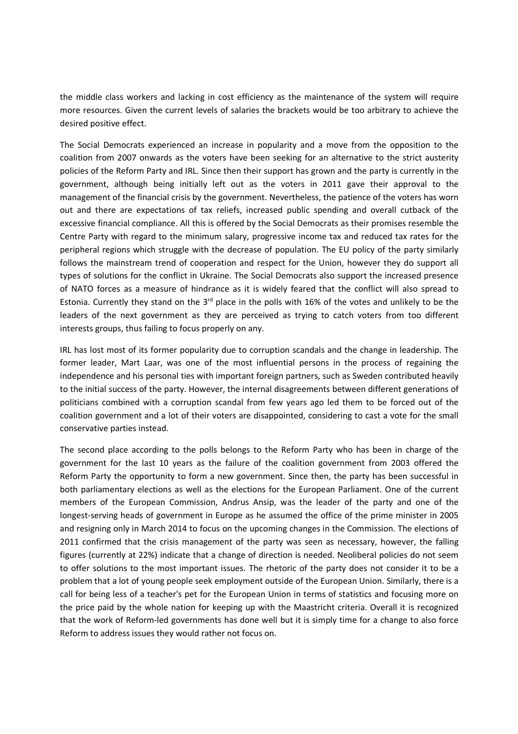the middle class workers and lacking in cost efficiency as the maintenance of the system will require more resources. Given the current levels of salaries the brackets would be too arbitrary to achieve the desired positive effect.

The Social Democrats experienced an increase in popularity and a move from the opposition to the coalition from 2007 onwards as the voters have been seeking for an alternative to the strict austerity policies of the Reform Party and IRL. Since then their support has grown and the party is currently in the government, although being initially left out as the voters in 2011 gave their approval to the management of the financial crisis by the government. Nevertheless, the patience of the voters has worn out and there are expectations of tax reliefs, increased public spending and overall cutback of the excessive financial compliance. All this is offered by the Social Democrats as their promises resemble the Centre Party with regard to the minimum salary, progressive income tax and reduced tax rates for the peripheral regions which struggle with the decrease of population. The EU policy of the party similarly follows the mainstream trend of cooperation and respect for the Union, however they do support all types of solutions for the conflict in Ukraine. The Social Democrats also support the increased presence of NATO forces as a measure of hindrance as it is widely feared that the conflict will also spread to Estonia. Currently they stand on the  $3<sup>rd</sup>$  place in the polls with 16% of the votes and unlikely to be the leaders of the next government as they are perceived as trying to catch voters from too different interests groups, thus failing to focus properly on any.

IRL has lost most of its former popularity due to corruption scandals and the change in leadership. The former leader, Mart Laar, was one of the most influential persons in the process of regaining the independence and his personal ties with important foreign partners, such as Sweden contributed heavily to the initial success of the party. However, the internal disagreements between different generations of politicians combined with a corruption scandal from few years ago led them to be forced out of the coalition government and a lot of their voters are disappointed, considering to cast a vote for the small conservative parties instead.

The second place according to the polls belongs to the Reform Party who has been in charge of the government for the last 10 years as the failure of the coalition government from 2003 offered the Reform Party the opportunity to form a new government. Since then, the party has been successful in both parliamentary elections as well as the elections for the European Parliament. One of the current members of the European Commission, Andrus Ansip, was the leader of the party and one of the longest-serving heads of government in Europe as he assumed the office of the prime minister in 2005 and resigning only in March 2014 to focus on the upcoming changes in the Commission. The elections of 2011 confirmed that the crisis management of the party was seen as necessary, however, the falling figures (currently at 22%) indicate that a change of direction is needed. Neoliberal policies do not seem to offer solutions to the most important issues. The rhetoric of the party does not consider it to be a problem that a lot of young people seek employment outside of the European Union. Similarly, there is a call for being less of a teacher's pet for the European Union in terms of statistics and focusing more on the price paid by the whole nation for keeping up with the Maastricht criteria. Overall it is recognized that the work of Reform-led governments has done well but it is simply time for a change to also force Reform to address issues they would rather not focus on.